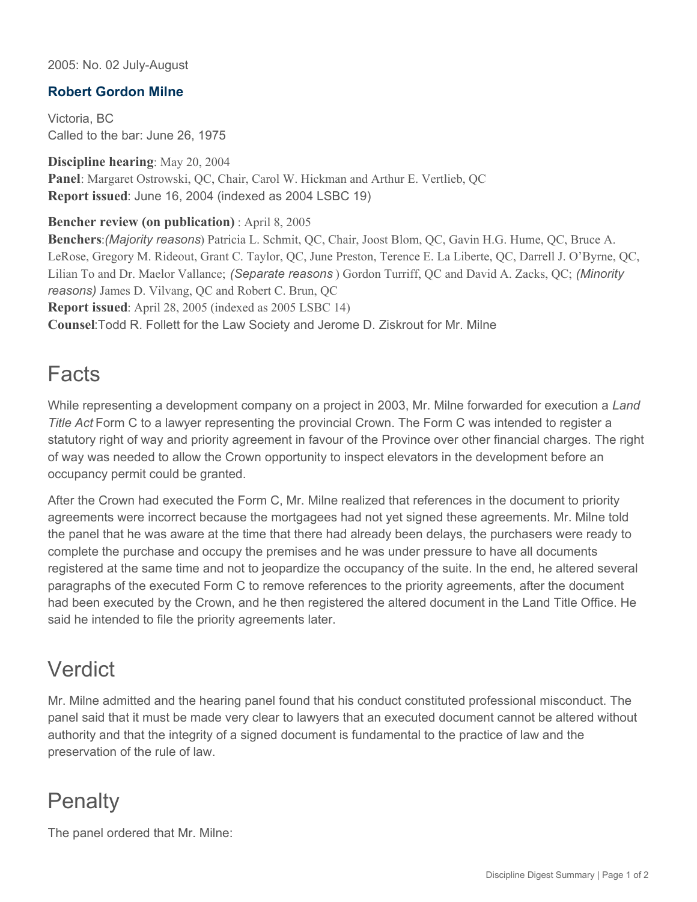2005: No. 02 July-August

### **Robert Gordon Milne**

Victoria, BC Called to the bar: June 26, 1975

**Discipline hearing**: May 20, 2004 **Panel**: Margaret Ostrowski, QC, Chair, Carol W. Hickman and Arthur E. Vertlieb, QC **Report issued**: June 16, 2004 (indexed as 2004 LSBC 19)

#### **Bencher review (on publication)** : April 8, 2005

**Benchers**:*(Majority reasons*) Patricia L. Schmit, QC, Chair, Joost Blom, QC, Gavin H.G. Hume, QC, Bruce A. LeRose, Gregory M. Rideout, Grant C. Taylor, QC, June Preston, Terence E. La Liberte, QC, Darrell J. O'Byrne, QC, Lilian To and Dr. Maelor Vallance; *(Separate reasons* ) Gordon Turriff, QC and David A. Zacks, QC; *(Minority reasons)* James D. Vilvang, QC and Robert C. Brun, QC **Report issued**: April 28, 2005 (indexed as 2005 LSBC 14) **Counsel**:Todd R. Follett for the Law Society and Jerome D. Ziskrout for Mr. Milne

### Facts

While representing a development company on a project in 2003, Mr. Milne forwarded for execution a *Land Title Act* Form C to a lawyer representing the provincial Crown. The Form C was intended to register a statutory right of way and priority agreement in favour of the Province over other financial charges. The right of way was needed to allow the Crown opportunity to inspect elevators in the development before an occupancy permit could be granted.

After the Crown had executed the Form C, Mr. Milne realized that references in the document to priority agreements were incorrect because the mortgagees had not yet signed these agreements. Mr. Milne told the panel that he was aware at the time that there had already been delays, the purchasers were ready to complete the purchase and occupy the premises and he was under pressure to have all documents registered at the same time and not to jeopardize the occupancy of the suite. In the end, he altered several paragraphs of the executed Form C to remove references to the priority agreements, after the document had been executed by the Crown, and he then registered the altered document in the Land Title Office. He said he intended to file the priority agreements later.

## Verdict

Mr. Milne admitted and the hearing panel found that his conduct constituted professional misconduct. The panel said that it must be made very clear to lawyers that an executed document cannot be altered without authority and that the integrity of a signed document is fundamental to the practice of law and the preservation of the rule of law.

# **Penalty**

The panel ordered that Mr. Milne: